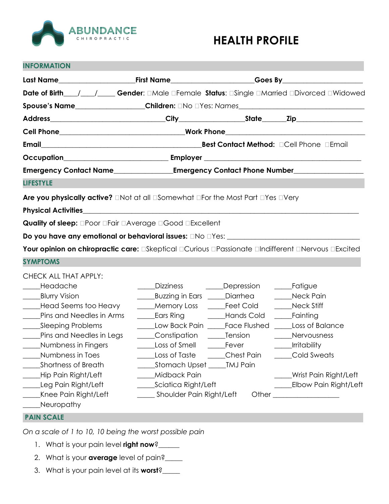

# **HEALTH PROFILE**

| <b>INFORMATION</b>                                                                                                  |                                                                    |                                                                                                          |  |  |
|---------------------------------------------------------------------------------------------------------------------|--------------------------------------------------------------------|----------------------------------------------------------------------------------------------------------|--|--|
|                                                                                                                     |                                                                    | Last Name____________________________First Name______________________Goes By_______________________      |  |  |
|                                                                                                                     |                                                                    | Date of Birth___/___/___Gender: 0Male 0Female Status: 0Single 0Married 0Divorced 0Widowed                |  |  |
|                                                                                                                     |                                                                    | Spouse's Name___________________Children: DNo DYes: Names_______________________                         |  |  |
|                                                                                                                     |                                                                    |                                                                                                          |  |  |
|                                                                                                                     |                                                                    |                                                                                                          |  |  |
|                                                                                                                     |                                                                    |                                                                                                          |  |  |
|                                                                                                                     |                                                                    |                                                                                                          |  |  |
| Emergency Contact Name________________Emergency Contact Phone Number____________                                    |                                                                    |                                                                                                          |  |  |
| <b>LIFESTYLE</b>                                                                                                    |                                                                    |                                                                                                          |  |  |
| <b>Are you physically active?</b> $\Box$ Not at all $\Box$ Somewhat $\Box$ For the Most Part $\Box$ Yes $\Box$ Very |                                                                    |                                                                                                          |  |  |
| Physical Activities <b>Activities and Activities Activities Activities Activities Activities</b>                    |                                                                    |                                                                                                          |  |  |
| Quality of sleep: <b>DPoor DFair DAverage DGood DExcellent</b>                                                      |                                                                    |                                                                                                          |  |  |
|                                                                                                                     |                                                                    |                                                                                                          |  |  |
|                                                                                                                     |                                                                    | Your opinion on chiropractic care: <b>Electional Ecurious EPassionate EIndifferent ENervous EExcited</b> |  |  |
| <b>SYMPTOMS</b>                                                                                                     |                                                                    |                                                                                                          |  |  |
| CHECK ALL THAT APPLY:                                                                                               |                                                                    |                                                                                                          |  |  |
| Headache                                                                                                            | Dizziness                                                          | <b>Example Depression</b><br>____Fatigue                                                                 |  |  |
| _____Blurry Vision<br>Head Seems too Heavy                                                                          | Buzzing in Ears _____Diarrhea _____<br>Memory Loss ______Feet Cold | Neck Pain<br>Neck Stiff                                                                                  |  |  |
| Pins and Needles in Arms                                                                                            |                                                                    | <b>Ears Ring Cold Earning</b> Earning                                                                    |  |  |
| _____Sleeping Problems                                                                                              | Low Back Pain Face Flushed                                         | Loss of Balance                                                                                          |  |  |
| Pins and Needles in Legs                                                                                            | Constipation _______Tension                                        | Nervousness                                                                                              |  |  |
| Numbness in Fingers                                                                                                 | <b>Loss of Smell</b>                                               | Irritability<br>_____Fever                                                                               |  |  |

- \_\_\_\_\_Numbness in Toes \_\_\_\_\_Loss of Taste \_\_\_\_\_Chest Pain \_\_\_\_\_Cold Sweats \_\_\_\_\_Shortness of Breath \_\_\_\_\_Stomach Upset \_\_\_\_\_TMJ Pain \_\_\_\_\_Hip Pain Right/Left \_\_\_\_\_Midback Pain \_\_\_\_\_Wrist Pain Right/Left \_\_\_\_\_Leg Pain Right/Left \_\_\_\_\_Sciatica Right/Left \_\_\_\_\_Elbow Pain Right/Left
- \_Knee Pain Right/Left \_\_\_\_\_\_\_\_\_\_\_Shoulder Pain Right/Left \_\_\_\_\_\_\_\_\_\_\_\_\_\_\_\_\_\_\_\_\_\_
- \_\_\_\_\_Neuropathy

# **PAIN SCALE I**

*On a scale of 1 to 10, 10 being the worst possible pain*

- 1. What is your pain level **right now**?\_\_\_\_\_\_
- 2. What is your **average** level of pain?\_\_\_\_\_
- 3. What is your pain level at its **worst**?\_\_\_\_\_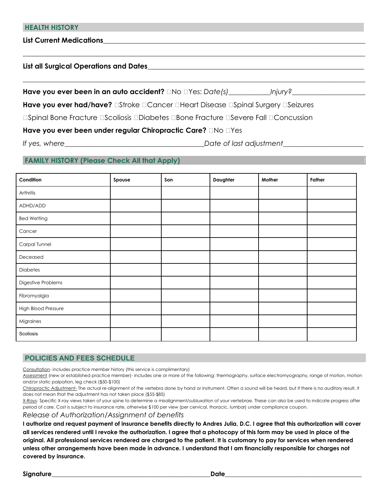#### **HEALTH HISTORY**

List Current Medications

### **List all Surgical Operations and Dates**\_\_\_\_\_\_\_\_\_\_\_\_\_\_\_\_\_\_\_\_\_\_\_\_\_\_\_\_\_\_\_\_\_\_\_\_\_\_\_\_\_\_\_\_\_\_\_\_\_\_\_\_\_\_\_\_\_\_\_\_\_\_

**Have you ever been in an auto accident?**  $\Box$  No  $\Box$  Yes: *Date(s) Injury?* 

Have you ever had/have? **Elast Cancer Eleart Disease Elast Surgery Elast Diseizures** 

 $\_$  ,  $\_$  ,  $\_$  ,  $\_$  ,  $\_$  ,  $\_$  ,  $\_$  ,  $\_$  ,  $\_$  ,  $\_$  ,  $\_$  ,  $\_$  ,  $\_$  ,  $\_$  ,  $\_$  ,  $\_$  ,  $\_$  ,  $\_$  ,  $\_$  ,  $\_$  ,  $\_$  ,  $\_$  ,  $\_$  ,  $\_$  ,  $\_$  ,  $\_$  ,  $\_$  ,  $\_$  ,  $\_$  ,  $\_$  ,  $\_$  ,  $\_$  ,  $\_$  ,  $\_$  ,  $\_$  ,  $\_$  ,  $\_$  ,

 $\_$  , and the set of the set of the set of the set of the set of the set of the set of the set of the set of the set of the set of the set of the set of the set of the set of the set of the set of the set of the set of th

□Spinal Bone Fracture □Scoliosis □Diabetes □Bone Fracture □Severe Fall □Concussion

# Have you ever been under regular Chiropractic Care? **No Nes**

*If yes, where*\_\_\_\_\_\_\_\_\_\_\_\_\_\_\_\_\_\_\_\_\_\_\_\_\_\_\_\_\_\_\_\_\_\_\_\_\_\_\_\_*Date of last adjustment*\_\_\_\_\_\_\_\_\_\_\_\_\_\_\_\_\_\_\_\_\_\_\_

# **FAMILY HISTORY (Please Check All that Apply)**

| Condition                  | Spouse | Son | Daughter | Mother | Father |
|----------------------------|--------|-----|----------|--------|--------|
| Arthritis                  |        |     |          |        |        |
| ADHD/ADD                   |        |     |          |        |        |
| <b>Bed Wetting</b>         |        |     |          |        |        |
| Cancer                     |        |     |          |        |        |
| Carpal Tunnel              |        |     |          |        |        |
| Deceased                   |        |     |          |        |        |
| Diabetes                   |        |     |          |        |        |
| Digestive Problems         |        |     |          |        |        |
| Fibromyalgia               |        |     |          |        |        |
| <b>High Blood Pressure</b> |        |     |          |        |        |
| Migraines                  |        |     |          |        |        |
| Scoliosis                  |        |     |          |        |        |

# **POLICIES AND FEES SCHEDULE**

Consultation- includes practice member history (this service is complimentary)

Assessment (new or established practice member)- includes one or more of the following: thermography, surface electromyography, range of motion, motion and/or static palpation, leg check (\$50-\$100)

Chiropractic Adjustment- The actual re-alignment of the vertebra done by hand or instrument. Often a sound will be heard, but if there is no auditory result, it does not mean that the adjustment has not taken place (\$55-\$85)

X-Rays- Specific X-ray views taken of your spine to determine a misalignment/subluxation of your vertebrae. These can also be used to indicate progress after period of care. Cost is subject to insurance rate, otherwise \$100 per view (per cervical, thoracic, lumbar) under compliance coupon.

*Release of Authorization/Assignment of benefits*

**I authorize and request payment of insurance benefits directly to Andres Julia, D.C. I agree that this authorization will cover all services rendered until I revoke the authorization. I agree that a photocopy of this form may be used in place of the original. All professional services rendered are charged to the patient. It is customary to pay for services when rendered unless other arrangements have been made in advance. I understand that I am financially responsible for charges not covered by insurance.**

**Signature**\_\_\_\_\_\_\_\_\_\_\_\_\_\_\_\_\_\_\_\_\_\_\_\_\_\_\_\_\_\_\_\_\_\_\_\_\_\_\_\_\_\_\_\_\_\_\_\_\_\_**Date**\_\_\_\_\_\_\_\_\_\_\_\_\_\_\_\_\_\_\_\_\_\_\_\_\_\_\_\_\_\_\_\_\_\_\_\_\_\_\_\_\_\_\_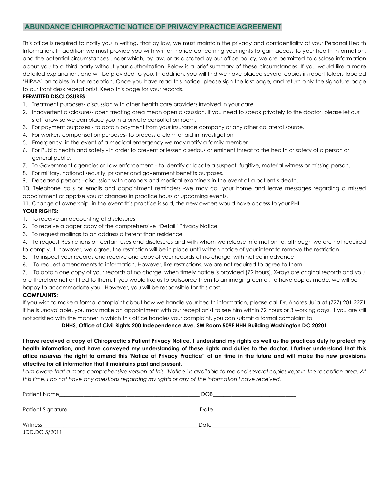### **ABUNDANCE CHIROPRACTIC NOTICE OF PRIVACY PRACTICE AGREEMENT**

This office is required to notify you in writing, that by law, we must maintain the privacy and confidentiality of your Personal Health Information. In addition we must provide you with written notice concerning your rights to gain access to your health information, and the potential circumstances under which, by law, or as dictated by our office policy, we are permitted to disclose information about you to a third party without your authorization. Below is a brief summary of these circumstances. If you would like a more detailed explanation, one will be provided to you. In addition, you will find we have placed several copies in report folders labeled 'HIPAA' on tables in the reception. Once you have read this notice, please sign the last page, and return only the signature page to our front desk receptionist. Keep this page for your records.

#### **PERMITTED DISCLOSURES:**

- 1. Treatment purposes- discussion with other health care providers involved in your care
- 2. Inadvertent disclosures- open treating area mean open discussion. If you need to speak privately to the doctor, please let our staff know so we can place you in a private consultation room.
- 3. For payment purposes to obtain payment from your insurance company or any other collateral source.
- 4. For workers compensation purposes- to process a claim or aid in investigation
- 5. Emergency- in the event of a medical emergency we may notify a family member
- 6. For Public health and safety in order to prevent or lessen a serious or eminent threat to the health or safety of a person or general public.
- 7. To Government agencies or Law enforcement to identify or locate a suspect, fugitive, material witness or missing person.
- 8. For military, national security, prisoner and government benefits purposes.
- 9. Deceased persons –discussion with coroners and medical examiners in the event of a patient's death.

10. Telephone calls or emails and appointment reminders -we may call your home and leave messages regarding a missed appointment or apprize you of changes in practice hours or upcoming events.

11. Change of ownership- in the event this practice is sold, the new owners would have access to your PHI.

#### **YOUR RIGHTS:**

- 1. To receive an accounting of disclosures
- 2. To receive a paper copy of the comprehensive "Detail" Privacy Notice
- 3. To request mailings to an address different than residence
- 4. To request Restrictions on certain uses and disclosures and with whom we release information to, although we are not required
- to comply. If, however, we agree, the restriction will be in place until written notice of your intent to remove the restriction.
- 5. To inspect your records and receive one copy of your records at no charge, with notice in advance
- 6. To request amendments to information. However, like restrictions, we are not required to agree to them.
- 7. To obtain one copy of your records at no charge, when timely notice is provided (72 hours). X-rays are original records and you

are therefore not entitled to them. If you would like us to outsource them to an imaging center, to have copies made, we will be happy to accommodate you. However, you will be responsible for this cost.

#### **COMPLAINTS:**

If you wish to make a formal complaint about how we handle your health information, please call Dr. Andres Julia at (727) 201-2271 if he is unavailable, you may make an appointment with our receptionist to see him within 72 hours or 3 working days. If you are still not satisfied with the manner in which this office handles your complaint, you can submit a formal complaint to:

#### **DHHS, Office of Civil Rights 200 Independence Ave. SW Room 509F HHH Building Washington DC 20201**

#### **I have received a copy of Chiropractic's Patient Privacy Notice. I understand my rights as well as the practices duty to protect my health information, and have conveyed my understanding of these rights and duties to the doctor. I further understand that this office reserves the right to amend this 'Notice of Privacy Practice" at an time in the future and will make the new provisions effective for all information that it maintains past and present.**

*I am aware that a more comprehensive version of this "Notice" is available to me and several copies kept in the reception area. At this time, I do not have any questions regarding my rights or any of the information I have received.*

| Patient Name       | DOB  |
|--------------------|------|
| Patient Signature_ | Date |
| Witness            | Date |

JDD,DC 5/2011